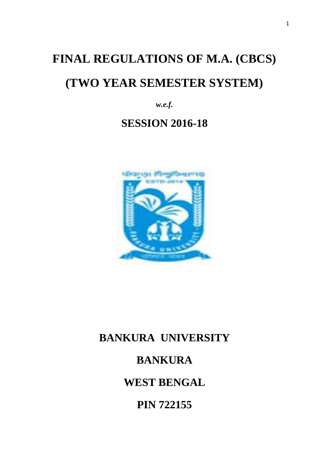# **FINAL REGULATIONS OF M.A. (CBCS) (TWO YEAR SEMESTER SYSTEM)**

*w.e.f.* 

# **SESSION 2016-18**



# **BANKURA UNIVERSITY**

# **BANKURA**

**WEST BENGAL**

**PIN 722155**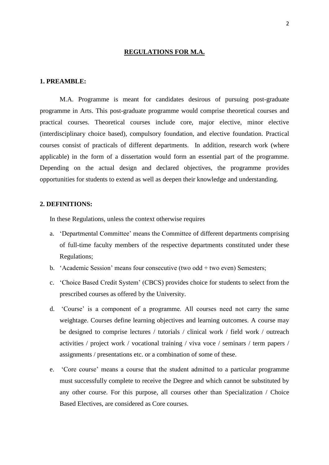#### **REGULATIONS FOR M.A.**

#### **1. PREAMBLE:**

M.A. Programme is meant for candidates desirous of pursuing post-graduate programme in Arts. This post-graduate programme would comprise theoretical courses and practical courses. Theoretical courses include core, major elective, minor elective (interdisciplinary choice based), compulsory foundation, and elective foundation. Practical courses consist of practicals of different departments. In addition, research work (where applicable) in the form of a dissertation would form an essential part of the programme. Depending on the actual design and declared objectives, the programme provides opportunities for students to extend as well as deepen their knowledge and understanding.

#### **2. DEFINITIONS:**

In these Regulations, unless the context otherwise requires

- a. 'Departmental Committee' means the Committee of different departments comprising of full-time faculty members of the respective departments constituted under these Regulations;
- b. 'Academic Session' means four consecutive (two odd + two even) Semesters;
- c. 'Choice Based Credit System' (CBCS) provides choice for students to select from the prescribed courses as offered by the University.
- d. 'Course' is a component of a programme. All courses need not carry the same weightage. Courses define learning objectives and learning outcomes. A course may be designed to comprise lectures / tutorials / clinical work / field work / outreach activities / project work / vocational training / viva voce / seminars / term papers / assignments / presentations etc. or a combination of some of these.
- e. 'Core course' means a course that the student admitted to a particular programme must successfully complete to receive the Degree and which cannot be substituted by any other course. For this purpose, all courses other than Specialization / Choice Based Electives, are considered as Core courses.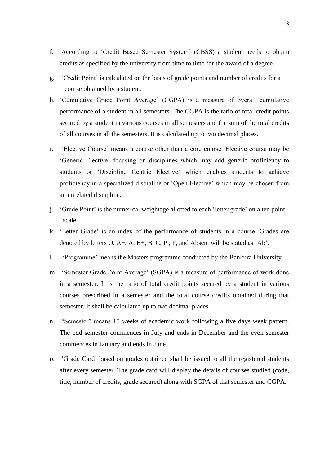- f. According to 'Credit Based Semester System' (CBSS) a student needs to obtain credits as specified by the university from time to time for the award of a degree.
- g. 'Credit Point' is calculated on the basis of grade points and number of credits for a course obtained by a student.
- h. 'Cumulative Grade Point Average' (CGPA) is a measure of overall cumulative performance of a student in all semesters. The CGPA is the ratio of total credit points secured by a student in various courses in all semesters and the sum of the total credits of all courses in all the semesters. It is calculated up to two decimal places.
- i. 'Elective Course' means a course other than a core course. Elective course may be 'Generic Elective' focusing on disciplines which may add generic proficiency to students or 'Discipline Centric Elective' which enables students to achieve proficiency in a specialized discipline or 'Open Elective' which may be chosen from an unrelated discipline.
- j. 'Grade Point' is the numerical weightage allotted to each 'letter grade' on a ten point scale.
- k. 'Letter Grade' is an index of the performance of students in a course. Grades are denoted by letters  $O, A_+, A, B_+, B, C, P, F$ , and Absent will be stated as 'Ab'.
- l. 'Programme' means the Masters programme conducted by the Bankura University.
- m. 'Semester Grade Point Average' (SGPA) is a measure of performance of work done in a semester. It is the ratio of total credit points secured by a student in various courses prescribed in a semester and the total course credits obtained during that semester. It shall be calculated up to two decimal places.
- n. "Semester" means 15 weeks of academic work following a five days week pattern. The odd semester commences in July and ends in December and the even semester commences in January and ends in June.
- o. 'Grade Card' based on grades obtained shall be issued to all the registered students after every semester. The grade card will display the details of courses studied (code, title, number of credits, grade secured) along with SGPA of that semester and CGPA.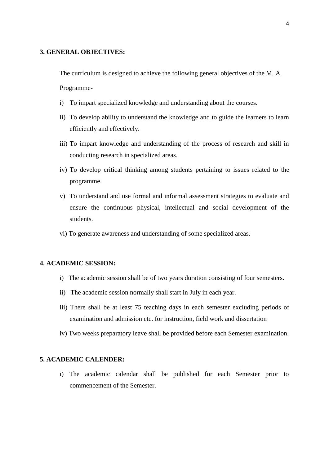#### **3. GENERAL OBJECTIVES:**

The curriculum is designed to achieve the following general objectives of the M. A.

Programme-

- i) To impart specialized knowledge and understanding about the courses.
- ii) To develop ability to understand the knowledge and to guide the learners to learn efficiently and effectively.
- iii) To impart knowledge and understanding of the process of research and skill in conducting research in specialized areas.
- iv) To develop critical thinking among students pertaining to issues related to the programme.
- v) To understand and use formal and informal assessment strategies to evaluate and ensure the continuous physical, intellectual and social development of the students.
- vi) To generate awareness and understanding of some specialized areas.

#### **4. ACADEMIC SESSION:**

- i) The academic session shall be of two years duration consisting of four semesters.
- ii) The academic session normally shall start in July in each year.
- iii) There shall be at least 75 teaching days in each semester excluding periods of examination and admission etc. for instruction, field work and dissertation
- iv) Two weeks preparatory leave shall be provided before each Semester examination.

#### **5. ACADEMIC CALENDER:**

i) The academic calendar shall be published for each Semester prior to commencement of the Semester.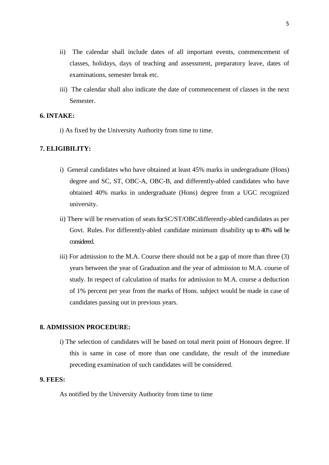- ii) The calendar shall include dates of all important events, commencement of classes, holidays, days of teaching and assessment, preparatory leave, dates of examinations, semester break etc.
- iii) The calendar shall also indicate the date of commencement of classes in the next Semester.

#### **6. INTAKE:**

i) As fixed by the University Authority from time to time.

#### **7. ELIGIBILITY:**

- i) General candidates who have obtained at least 45% marks in undergraduate (Hons) degree and SC, ST, OBC-A, OBC-B, and differently-abled candidates who have obtained 40% marks in undergraduate (Hons) degree from a UGC recognized university.
- ii) There will be reservation of seats forSC/ST/OBC/differently-abled candidates as per Govt. Rules. For differently-abled candidate minimum disability up to 40% will be considered.
- iii) For admission to the M.A. Course there should not be a gap of more than three (3) years between the year of Graduation and the year of admission to M.A. course of study. In respect of calculation of marks for admission to M.A. course a deduction of 1% percent per year from the marks of Hons. subject would be made in case of candidates passing out in previous years.

#### **8. ADMISSION PROCEDURE:**

i) The selection of candidates will be based on total merit point of Honours degree. If this is same in case of more than one candidate, the result of the immediate preceding examination of such candidates will be considered.

#### **9. FEES:**

As notified by the University Authority from time to time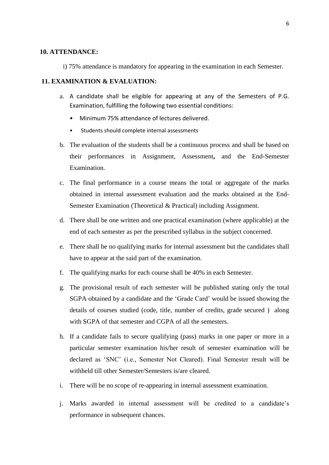#### **10. ATTENDANCE:**

i) 75% attendance is mandatory for appearing in the examination in each Semester.

#### **11. EXAMINATION & EVALUATION:**

- a. A candidate shall be eligible for appearing at any of the Semesters of P.G. Examination, fulfilling the following two essential conditions:
	- Minimum 75% attendance of lectures delivered.
	- Students should complete internal assessments
- b. The evaluation of the students shall be a continuous process and shall be based on their performances in Assignment, Assessment**,** and the End-Semester Examination.
- c. The final performance in a course means the total or aggregate of the marks obtained in internal assessment evaluation and the marks obtained at the End-Semester Examination (Theoretical & Practical) including Assignment.
- d. There shall be one written and one practical examination (where applicable) at the end of each semester as per the prescribed syllabus in the subject concerned.
- e. There shall be no qualifying marks for internal assessment but the candidates shall have to appear at the said part of the examination.
- f. The qualifying marks for each course shall be 40% in each Semester.
- g. The provisional result of each semester will be published stating only the total SGPA obtained by a candidate and the 'Grade Card' would be issued showing the details of courses studied (code, title, number of credits, grade secured ) along with SGPA of that semester and CGPA of all the semesters.
- h. If a candidate fails to secure qualifying (pass) marks in one paper or more in a particular semester examination his/her result of semester examination will be declared as 'SNC' (i.e., Semester Not Cleared). Final Semester result will be withheld till other Semester/Semesters is/are cleared.
- i. There will be no scope of re-appearing in internal assessment examination.
- j. Marks awarded in internal assessment will be credited to a candidate's performance in subsequent chances.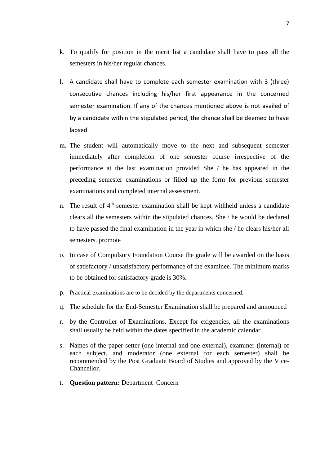- k. To qualify for position in the merit list a candidate shall have to pass all the semesters in his/her regular chances.
- l. A candidate shall have to complete each semester examination with 3 (three) consecutive chances including his/her first appearance in the concerned semester examination. If any of the chances mentioned above is not availed of by a candidate within the stipulated period, the chance shall be deemed to have lapsed.
- m. The student will automatically move to the next and subsequent semester immediately after completion of one semester course irrespective of the performance at the last examination provided She / he has appeared in the preceding semester examinations or filled up the form for previous semester examinations and completed internal assessment.
- n. The result of  $4<sup>th</sup>$  semester examination shall be kept withheld unless a candidate clears all the semesters within the stipulated chances. She / he would be declared to have passed the final examination in the year in which she / he clears his/her all semesters. promote
- o. In case of Compulsory Foundation Course the grade will be awarded on the basis of satisfactory / unsatisfactory performance of the examinee. The minimum marks to be obtained for satisfactory grade is 30%.
- p. Practical examinations are to be decided by the departments concerned.
- q. The schedule for the End-Semester Examination shall be prepared and announced
- r. by the Controller of Examinations. Except for exigencies, all the examinations shall usually be held within the dates specified in the academic calendar.
- s. Names of the paper-setter (one internal and one external), examiner (internal) of each subject, and moderator (one external for each semester) shall be recommended by the Post Graduate Board of Studies and approved by the Vice-Chancellor.
- t. **Question pattern:** Department Concern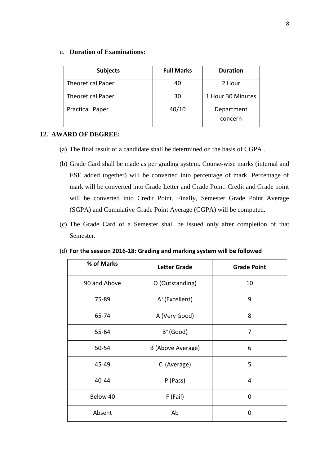#### u. **Duration of Examinations:**

| <b>Subjects</b>          | <b>Full Marks</b> | <b>Duration</b>       |
|--------------------------|-------------------|-----------------------|
| <b>Theoretical Paper</b> | 40                | 2 Hour                |
| <b>Theoretical Paper</b> | 30                | 1 Hour 30 Minutes     |
| Practical Paper          | 40/10             | Department<br>concern |

#### **12. AWARD OF DEGREE:**

- (a) The final result of a candidate shall be determined on the basis of CGPA .
- (b) Grade Card shall be made as per grading system. Course-wise marks (internal and ESE added together) will be converted into percentage of mark. Percentage of mark will be converted into Grade Letter and Grade Point. Credit and Grade point will be converted into Credit Point. Finally, Semester Grade Point Average (SGPA) and Cumulative Grade Point Average (CGPA) will be computed**.**
- (c) The Grade Card of a Semester shall be issued only after completion of that Semester.

| % of Marks   | <b>Letter Grade</b>        | <b>Grade Point</b> |
|--------------|----------------------------|--------------------|
| 90 and Above | O (Outstanding)            | 10                 |
| 75-89        | A <sup>+</sup> (Excellent) | 9                  |
| 65-74        | A (Very Good)              | 8                  |
| $55 - 64$    | $B^+(Good)$                | 7                  |
| 50-54        | B (Above Average)          | 6                  |
| 45-49        | C (Average)                | 5                  |
| 40-44        | P (Pass)                   | 4                  |
| Below 40     | F (Fail)                   | 0                  |
| Absent       | Ab                         | 0                  |

(d) **For the session 2016-18: Grading and marking system will be followed**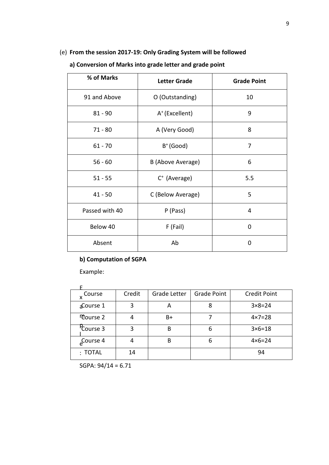### (e) **From the session 2017-19: Only Grading System will be followed**

| % of Marks     | <b>Letter Grade</b>        | <b>Grade Point</b> |
|----------------|----------------------------|--------------------|
| 91 and Above   | O (Outstanding)            | 10                 |
| $81 - 90$      | A <sup>+</sup> (Excellent) | 9                  |
| $71 - 80$      | A (Very Good)              | 8                  |
| $61 - 70$      | $B^+(Good)$                | 7                  |
| $56 - 60$      | B (Above Average)          | 6                  |
| $51 - 55$      | $C^*$ (Average)            | 5.5                |
| $41 - 50$      | C (Below Average)          | 5                  |
| Passed with 40 | P (Pass)                   | 4                  |
| Below 40       | F (Fail)                   | 0                  |
| Absent         | Ab                         | 0                  |

### **a) Conversion of Marks into grade letter and grade point**

### **b) Computation of SGPA**

Example:

| Course                | Credit | <b>Grade Letter</b> | <b>Grade Point</b> | <b>Credit Point</b> |
|-----------------------|--------|---------------------|--------------------|---------------------|
| Course 1              | 3      | А                   |                    | $3 \times 8 = 24$   |
| <b>Course 2</b>       | 4      | B+                  |                    | $4 \times 7 = 28$   |
| Course 3              | 3      | B                   | 6                  | $3 \times 6 = 18$   |
| <sub>e</sub> Course 4 | 4      | B                   | 6                  | $4 \times 6 = 24$   |
| $:$ TOTAL             | 14     |                     |                    | 94                  |

SGPA: 94/14 = 6.71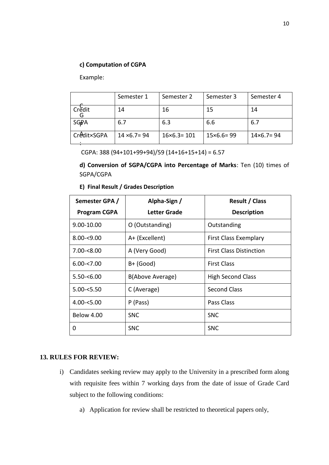#### **c) Computation of CGPA**

Example:

|             | Semester 1           | Semester 2           | Semester 3          | Semester 4          |
|-------------|----------------------|----------------------|---------------------|---------------------|
| Credit      | 14                   | 16                   | 15                  | 14                  |
| <b>SGPA</b> | 6.7                  | 6.3                  | 6.6                 | 6.7                 |
| Credit×SGPA | $14 \times 6.7 = 94$ | $16\times 6.3 = 101$ | $15\times 6.6 = 99$ | $14\times 6.7 = 94$ |

CGPA: 388  $(94+101+99+94)/59(14+16+15+14) = 6.57$ 

**d) Conversion of SGPA/CGPA into Percentage of Marks**: Ten (10) times of SGPA/CGPA

|  |  |  |  | E) Final Result / Grades Description |
|--|--|--|--|--------------------------------------|
|--|--|--|--|--------------------------------------|

| Semester GPA /      | Alpha-Sign /     | <b>Result / Class</b>          |
|---------------------|------------------|--------------------------------|
| <b>Program CGPA</b> | Letter Grade     | <b>Description</b>             |
| 9.00-10.00          | O (Outstanding)  | Outstanding                    |
| $8.00 - 9.00$       | A+ (Excellent)   | <b>First Class Exemplary</b>   |
| $7.00 - 8.00$       | A (Very Good)    | <b>First Class Distinction</b> |
| $6.00 - 7.00$       | $B+$ (Good)      | <b>First Class</b>             |
| $5.50 - 6.00$       | B(Above Average) | <b>High Second Class</b>       |
| $5.00 - 5.50$       | C (Average)      | <b>Second Class</b>            |
| $4.00 - 5.00$       | P (Pass)         | Pass Class                     |
| Below 4.00          | <b>SNC</b>       | <b>SNC</b>                     |
| 0                   | <b>SNC</b>       | <b>SNC</b>                     |

#### **13. RULES FOR REVIEW:**

- i) Candidates seeking review may apply to the University in a prescribed form along with requisite fees within 7 working days from the date of issue of Grade Card subject to the following conditions:
	- a) Application for review shall be restricted to theoretical papers only,